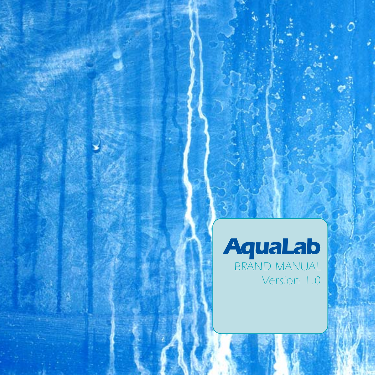### *AquaLab BRAND MANUAL Version 1.0*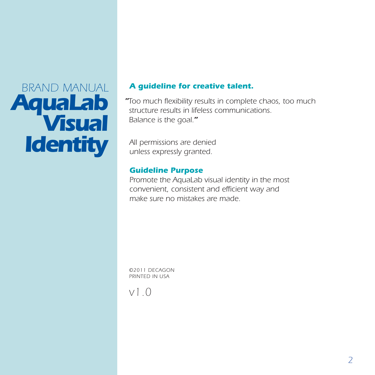# *BRAND MANUAL AquaLab Visual Identity*

### *A guideline for creative talent.*

*"Too much flexibility results in complete chaos, too much structure results in lifeless communications. Balance is the goal."*

*All permissions are denied unless expressly granted.*

#### *Guideline Purpose*

*Promote the AquaLab visual identity in the most convenient, consistent and efficient way and make sure no mistakes are made.*

*©2011 DECAGON PRINTED IN USA*

*v1.0*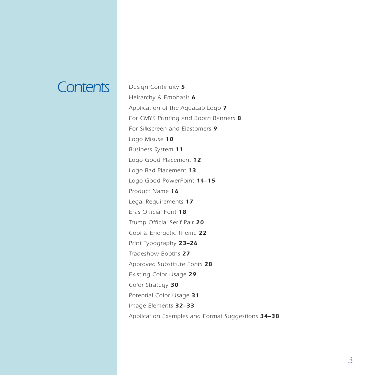### *Contents Design Continuity <sup>5</sup>*

*Heirarchy & Emphasis 6 Application of the AquaLab Logo 7 For CMYK Printing and Booth Banners 8 [For Silkscreen and Elastomers](#page-8-0) 9 Logo Misuse 10 Business System 11 [Logo Good Placement](#page-11-0) 12 [Logo Bad Placement](#page-12-0) 13 [Logo Good PowerPoint](#page-13-0) 14–15 Product Name 16 [Legal Requirements](#page-16-0) 17 Eras Official Font 18 Trump Official Serif Pair 20 [Cool & Energetic Theme](#page-21-0) 22 [Print Typography](#page-22-0) 23–26 [Tradeshow Booths](#page-26-0) 27 [Approved Substitute Fonts](#page-27-0) 28 [Existing Color Usage](#page-28-0) 29 [Color Strategy](#page-29-0) 30 [Potential Color Usage](#page-30-0) 31 Image Elements 32–33 [Application Examples and Format Suggestions](#page-33-0) 34–38*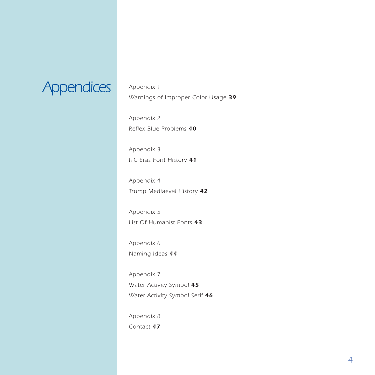

*Appendix 1 Warnings of Improper Color Usage 39*

*Appendix 2 Reflex Blue Problems 40*

*Appendix 3 ITC Eras Font History 41*

*Appendix 4 Trump Mediaeval History 42*

*Appendix 5 List Of Humanist Fonts 43*

*Appendix 6 Naming Ideas 44*

*Appendix 7 Water Activity Symbol 45 Water Activity Symbol Serif 46*

*Appendix 8 Contact 47*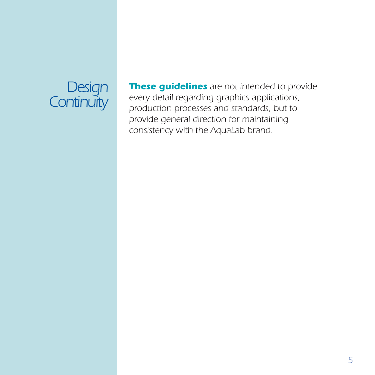

*These guidelines are not intended to provide every detail regarding graphics applications, production processes and standards, but to provide general direction for maintaining consistency with the AquaLab brand.*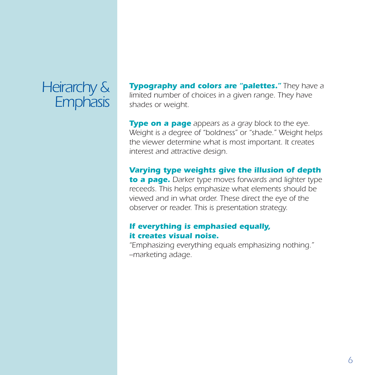### *Heirarchy & Emphasis*

*Typography and colors are "palettes." They have a limited number of choices in a given range. They have shades or weight.*

*Type on a page appears as a gray block to the eye. Weight is a degree of "boldness" or "shade." Weight helps the viewer determine what is most important. It creates interest and attractive design.*

*Varying type weights give the illusion of depth to a page. Darker type moves forwards and lighter type receeds. This helps emphasize what elements should be*

*viewed and in what order. These direct the eye of the observer or reader. This is presentation strategy.*

#### *If everything is emphasied equally, it creates visual noise.*

*"Emphasizing everything equals emphasizing nothing." --marketing adage.*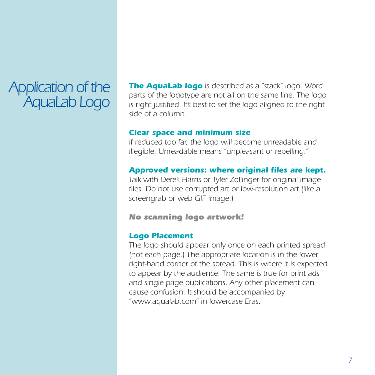### *Application of the AquaLab Logo*

*The AquaLab logo is described as a "stack" logo. Word parts of the logotype are not all on the same line. The logo is right justified. It's best to set the logo aligned to the right side of a column.*

#### *Clear space and minimum size*

*If reduced too far, the logo will become unreadable and illegible. Unreadable means "unpleasant or repelling."*

#### *Approved versions: where original files are kept.*

*Talk with Derek Harris or Tyler Zollinger for original image files. Do not use corrupted art or low-resolution art (like a screengrab or web GIF image.)*

#### *No scanning logo artwork!*

#### *Logo Placement*

*The logo should appear only once on each printed spread (not each page.) The appropriate location is in the lower right-hand corner of the spread. This is where it is expected to appear by the audience. The same is true for print ads and single page publications. Any other placement can cause confusion. It should be accompanied by "www.aqualab.com" in lowercase Eras.*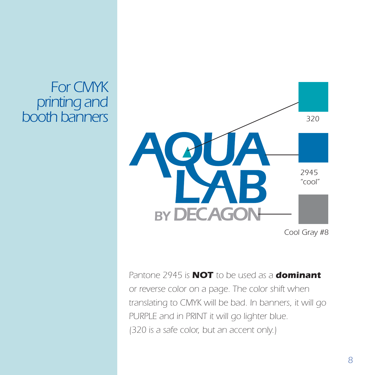### *For CMYK printing and booth banners*



*Cool Gray #8*

*Pantone 2945 is NOT to be used as a dominant or reverse color on a page. The color shift when translating to CMYK will be bad. In banners, it will go PURPLE and in PRINT it will go lighter blue. (320 is a safe color, but an accent only.)*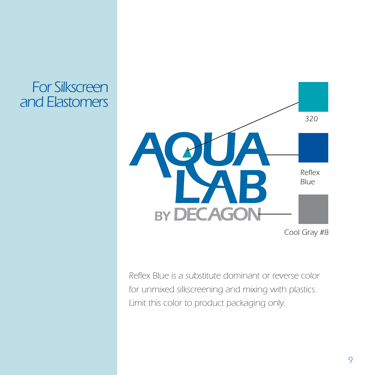### <span id="page-8-0"></span>*For Silkscreen and Elastomers*



*Cool Gray #8*

*Reflex Blue is a substitute dominant or reverse color for unmixed silkscreening and mixing with plastics. Limit this color to product packaging only.*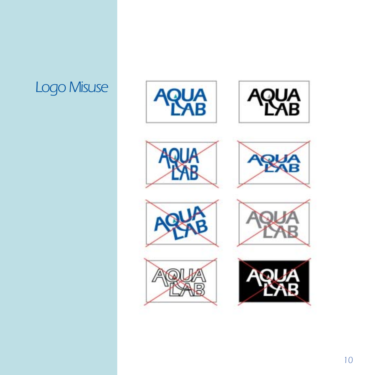## *Logo Misuse*















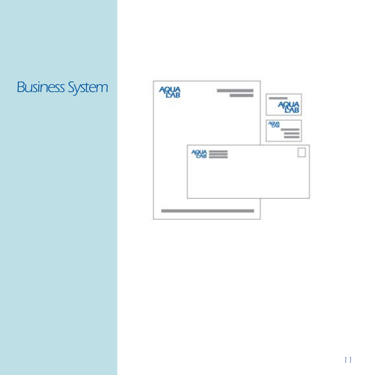### *Business System*

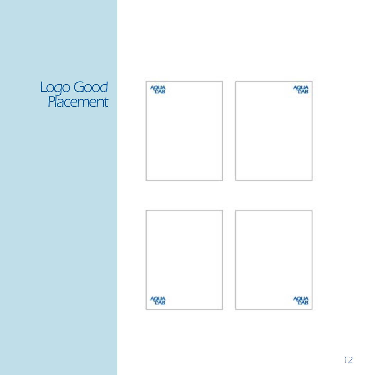### <span id="page-11-0"></span>*Logo Good Placement*

| <b>AQUA</b> | ARMA        |
|-------------|-------------|
|             |             |
|             |             |
|             |             |
| <b>ARVA</b> | <b>ABUA</b> |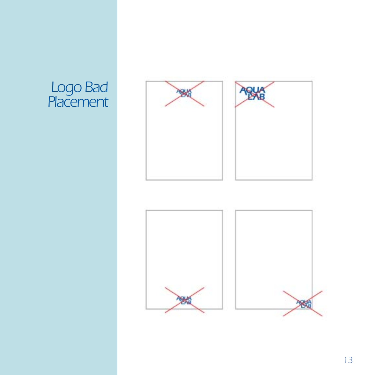### <span id="page-12-0"></span>*Logo Bad Placement*



**RK** 

RA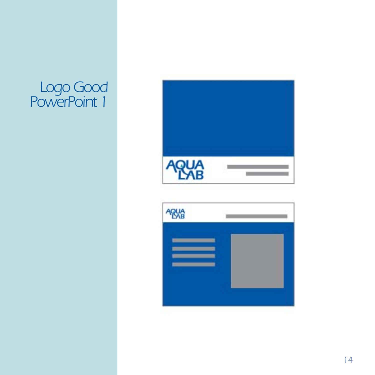### <span id="page-13-0"></span>*Logo Good PowerPoint 1*



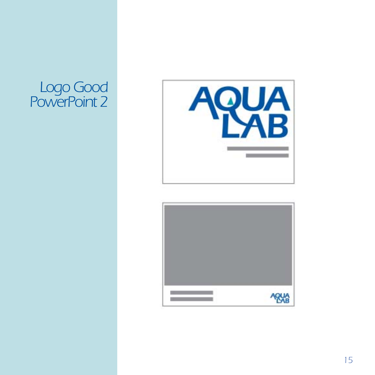### *Logo Good PowerPoint 2*



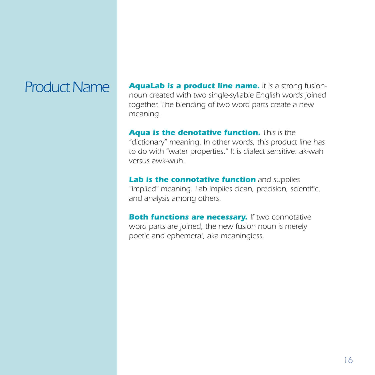**Product Name AquaLab is a product line name.** It is a strong fusion*noun created with two single-syllable English words joined together. The blending of two word parts create a new meaning.*

> *Aqua is the denotative function. This is the "dictionary" meaning. In other words, this product line has to do with "water properties." It is dialect sensitive: ak-wah versus awk-wuh.*

*Lab is the connotative function and supplies "implied" meaning. Lab implies clean, precision, scientific, and analysis among others.*

*Both functions are necessary. If two connotative word parts are joined, the new fusion noun is merely poetic and ephemeral, aka meaningless.*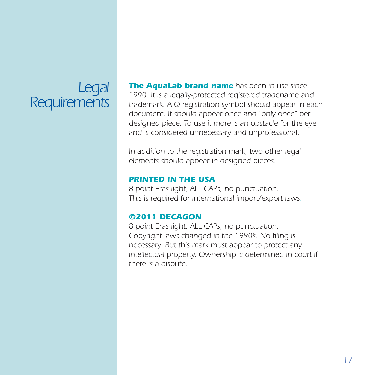### <span id="page-16-0"></span>*Legal Requirements*

*The AquaLab brand name has been in use since 1990. It is a legally-protected registered tradename and trademark. A ® registration symbol should appear in each document. It should appear once and "only once" per designed piece. To use it more is an obstacle for the eye and is considered unnecessary and unprofessional.*

*In addition to the registration mark, two other legal elements should appear in designed pieces.*

#### *PRINTED IN THE USA*

*8 point Eras light, ALL CAPs, no punctuation. This is required for international import/export laws.*

#### *©2011 DECAGON*

*8 point Eras light, ALL CAPs, no punctuation. Copyright laws changed in the 1990's. No filing is necessary. But this mark must appear to protect any intellectual property. Ownership is determined in court if there is a dispute.*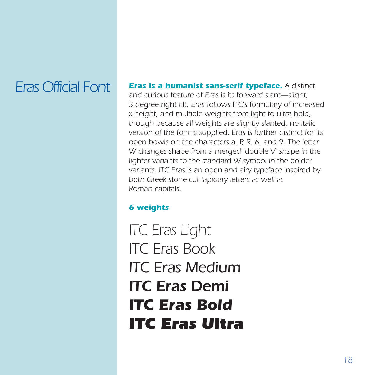### *Eras Official Font*

*Eras is a humanist sans-serif typeface. A distinct and curious feature of Eras is its forward slant—slight, 3-degree right tilt. Eras follows ITC's formulary of increased x-height, and multiple weights from light to ultra bold, though because all weights are slightly slanted, no italic version of the font is supplied. Eras is further distinct for its open bowls on the characters a, P, R, 6, and 9. The letter W changes shape from a merged 'double V' shape in the lighter variants to the standard W symbol in the bolder variants. ITC Eras is an open and airy typeface inspired by both Greek stone-cut lapidary letters as well as Roman capitals.*

### *6 weights*

*ITC Eras Light ITC Eras Book ITC Eras Medium ITC Eras Demi ITC Eras Bold ITC Eras Ultra*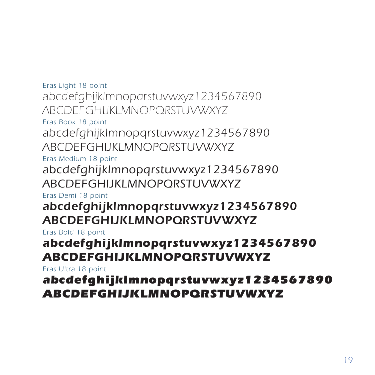*Eras Light 18 point abcdefghijklmnopqrstuvwxyz1234567890 ABCDEFGHIJKLMNOPQRSTUVWXYZ*

*Eras Book 18 point*

*abcdefghijklmnopqrstuvwxyz1234567890 ABCDEFGHIJKLMNOPQRSTUVWXYZ*

*Eras Medium 18 point*

*abcdefghijklmnopqrstuvwxyz1234567890 ABCDEFGHIJKLMNOPQRSTUVWXYZ*

*Eras Demi 18 point*

### *abcdefghijklmnopqrstuvwxyz1234567890 ABCDEFGHIJKLMNOPQRSTUVWXYZ*

*Eras Bold 18 point*

### *abcdefghijklmnopqrstuvwxyz1234567890 ABCDEFGHIJKLMNOPQRSTUVWXYZ*

*Eras Ultra 18 point*

### *abcdefghijklmnopqrstuvwxyz1234567890 ABCDEFGHIJKLMNOPQRSTUVWXYZ*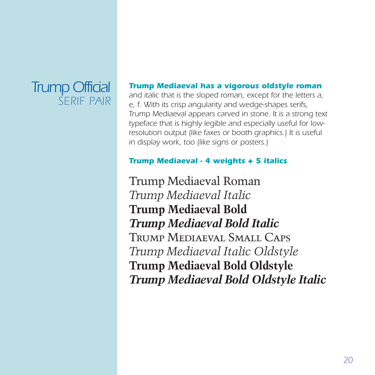### *Trump Official SERIF PAIR*

#### *Trump Mediaeval has a vigorous oldstyle roman*

*and italic that is the sloped roman, except for the letters a, e, f. With its crisp angularity and wedge-shapes serifs, Trump Mediaeval appears carved in stone. It is a strong text typeface that is highly legible and especially useful for lowresolution output (like faxes or booth graphics.) It is useful in display work, too (like signs or posters.)*

#### *Trump Mediaeval - 4 weights + 5 italics*

Trump Mediaeval Roman *Trump Mediaeval Italic* **Trump Mediaeval Bold** *Trump Mediaeval Bold Italic* Trump Mediaeval Small Caps *Trump Mediaeval Italic Oldstyle* **Trump Mediaeval Bold Oldstyle** *Trump Mediaeval Bold Oldstyle Italic*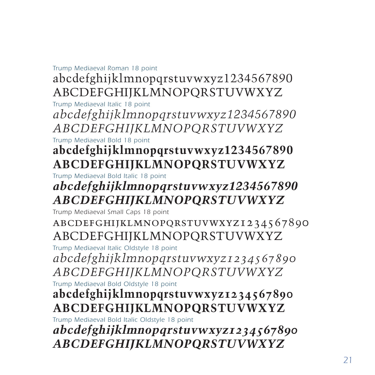#### *Trump Mediaeval Roman 18 point*

### abcdefghijklmnopqrstuvwxyz1234567890 ABCDEFGHIJKLMNOPQRSTUVWXYZ

*Trump Mediaeval Italic 18 point abcdefghijklmnopqrstuvwxyz1234567890 ABCDEFGHIJKLMNOPQRSTUVWXYZ*

*Trump Mediaeval Bold 18 point*

### **abcdefghijklmnopqrstuvwxyz1234567890 ABCDEFGHIJKLMNOPQRSTUVWXYZ**

*Trump Mediaeval Bold Italic 18 point*

### *abcdefghijklmnopqrstuvwxyz1234567890 ABCDEFGHIJKLMNOPQRSTUVWXYZ*

*Trump Mediaeval Small Caps 18 point*

abcdefghijklmnopqrstuvwxyz1234567890 ABCDEFGHIJKLMNOPQRSTUVWXYZ

*Trump Mediaeval Italic Oldstyle 18 point*

*abcdefghijklmnopqrstuvwxyz1234567890 ABCDEFGHIJKLMNOPQRSTUVWXYZ*

*Trump Mediaeval Bold Oldstyle 18 point*

### **abcdefghijklmnopqrstuvwxyz1234567890 ABCDEFGHIJKLMNOPQRSTUVWXYZ**

*Trump Mediaeval Bold Italic Oldstyle 18 point*

*abcdefghijklmnopqrstuvwxyz1234567890 ABCDEFGHIJKLMNOPQRSTUVWXYZ*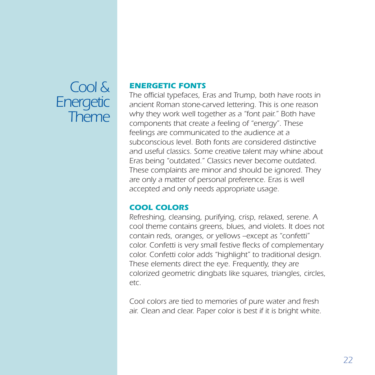### <span id="page-21-0"></span>*Cool & Energetic Theme*

#### *ENERGETIC FONTS*

*The official typefaces, Eras and Trump, both have roots in ancient Roman stone-carved lettering. This is one reason why they work well together as a "font pair." Both have components that create a feeling of "energy". These feelings are communicated to the audience at a subconscious level. Both fonts are considered distinctive and useful classics. Some creative talent may whine about Eras being "outdated." Classics never become outdated. These complaints are minor and should be ignored. They are only a matter of personal preference. Eras is well accepted and only needs appropriate usage.*

#### *COOL COLORS*

*Refreshing, cleansing, purifying, crisp, relaxed, serene. A cool theme contains greens, blues, and violets. It does not contain reds, oranges, or yellows --except as "confetti" color. Confetti is very small festive flecks of complementary color. Confetti color adds "highlight" to traditional design. These elements direct the eye. Frequently, they are colorized geometric dingbats like squares, triangles, circles, etc.*

*Cool colors are tied to memories of pure water and fresh air. Clean and clear. Paper color is best if it is bright white.*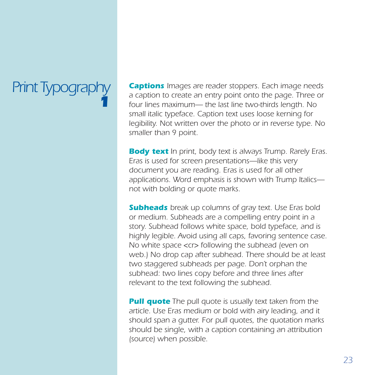### <span id="page-22-0"></span>*Print Typography 1*

*Captions Images are reader stoppers. Each image needs a caption to create an entry point onto the page. Three or four lines maximum— the last line two-thirds length. No small italic typeface. Caption text uses loose kerning for legibility. Not written over the photo or in reverse type. No smaller than 9 point.*

*Body text In print, body text is always Trump. Rarely Eras. Eras is used for screen presentations—like this very document you are reading. Eras is used for all other applications. Word emphasis is shown with Trump Italics not with bolding or quote marks.*

*Subheads break up columns of gray text. Use Eras bold or medium. Subheads are a compelling entry point in a story. Subhead follows white space, bold typeface, and is highly legible. Avoid using all caps, favoring sentence case. No white space <cr> following the subhead (even on web.) No drop cap after subhead. There should be at least two staggered subheads per page. Don't orphan the subhead: two lines copy before and three lines after relevant to the text following the subhead.*

*Pull quote The pull quote is usually text taken from the article. Use Eras medium or bold with airy leading, and it should span a gutter. For pull quotes, the quotation marks should be single, with a caption containing an attribution (source) when possible.*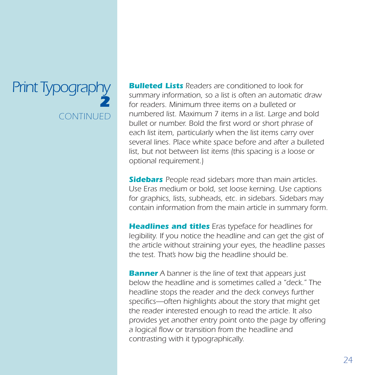### *Print Typography 2 CONTINUED*

*Bulleted Lists Readers are conditioned to look for summary information, so a list is often an automatic draw for readers. Minimum three items on a bulleted or numbered list. Maximum 7 items in a list. Large and bold bullet or number. Bold the first word or short phrase of each list item, particularly when the list items carry over several lines. Place white space before and after a bulleted list, but not between list items (this spacing is a loose or optional requirement.)*

*Sidebars People read sidebars more than main articles. Use Eras medium or bold, set loose kerning. Use captions for graphics, lists, subheads, etc. in sidebars. Sidebars may contain information from the main article in summary form.*

*Headlines and titles Eras typeface for headlines for legibility. If you notice the headline and can get the gist of the article without straining your eyes, the headline passes the test. That's how big the headline should be.*

*Banner A banner is the line of text that appears just below the headline and is sometimes called a "deck." The headline stops the reader and the deck conveys further specifics—often highlights about the story that might get the reader interested enough to read the article. It also provides yet another entry point onto the page by offering a logical flow or transition from the headline and contrasting with it typographically.*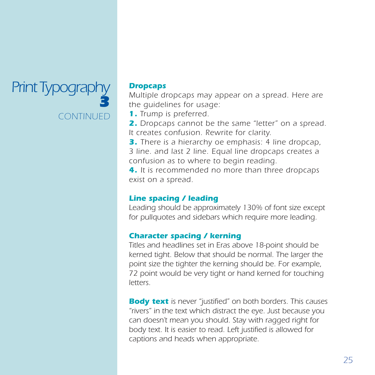### *Print Typography 3 CONTINUED*

#### *Dropcaps*

*Multiple dropcaps may appear on a spread. Here are the guidelines for usage:*

*1. Trump is preferred.*

*2. Dropcaps cannot be the same "letter" on a spread. It creates confusion. Rewrite for clarity.*

*3. There is a hierarchy oe emphasis: 4 line dropcap, 3 line. and last 2 line. Equal line dropcaps creates a confusion as to where to begin reading.*

*4. It is recommended no more than three dropcaps exist on a spread.*

#### *Line spacing / leading*

*Leading should be approximately 130% of font size except for pullquotes and sidebars which require more leading.*

#### *Character spacing / kerning*

*Titles and headlines set in Eras above 18-point should be kerned tight. Below that should be normal. The larger the point size the tighter the kerning should be. For example, 72 point would be very tight or hand kerned for touching letters.*

*Body text is never "justified" on both borders. This causes "rivers" in the text which distract the eye. Just because you can doesn't mean you should. Stay with ragged right for body text. It is easier to read. Left justified is allowed for captions and heads when appropriate.*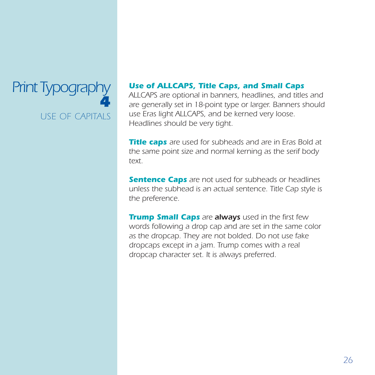### <span id="page-25-0"></span>*Print Typography 4 USE OF CAPITALS*

#### *Use of ALLCAPS, Title Caps, and Small Caps*

*ALLCAPS are optional in banners, headlines, and titles and are generally set in 18-point type or larger. Banners should use Eras light ALLCAPS, and be kerned very loose. Headlines should be very tight.*

*Title caps are used for subheads and are in Eras Bold at the same point size and normal kerning as the serif body text.*

*Sentence Caps are not used for subheads or headlines unless the subhead is an actual sentence. Title Cap style is the preference.*

*Trump Small Caps are always used in the first few words following a drop cap and are set in the same color as the dropcap. They are not bolded. Do not use fake dropcaps except in a jam. Trump comes with a real dropcap character set. It is always preferred.*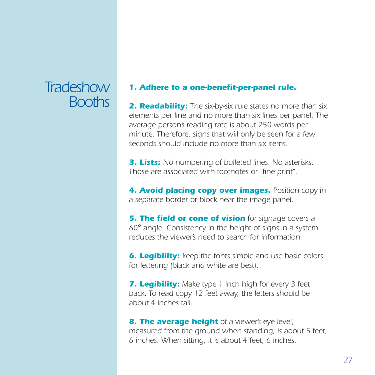### <span id="page-26-0"></span>*Tradeshow Booths*

#### *1. Adhere to a one-benefit-per-panel rule.*

*2. Readability: The six-by-six rule states no more than six elements per line and no more than six lines per panel. The average person's reading rate is about 250 words per minute. Therefore, signs that will only be seen for a few seconds should include no more than six items.*

*3. Lists: No numbering of bulleted lines. No asterisks. Those are associated with footnotes or "fine print".*

*4. Avoid placing copy over images. Position copy in a separate border or block near the image panel.*

*5. The field or cone of vision for signage covers a 60*° *angle. Consistency in the height of signs in a system reduces the viewer's need to search for information.*

*6. Legibility: keep the fonts simple and use basic colors for lettering (black and white are best).*

*7. Legibility: Make type 1 inch high for every 3 feet back. To read copy 12 feet away, the letters should be about 4 inches tall.*

*8. The average height of a viewer's eye level, measured from the ground when standing, is about 5 feet, 6 inches. When sitting, it is about 4 feet, 6 inches.*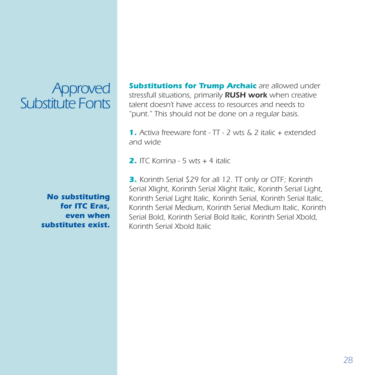### <span id="page-27-0"></span>*Approved Substitute Fonts*

*Substitutions for Trump Archaic are allowed under stressfull situations, primarily RUSH work when creative talent doesn't have access to resources and needs to "punt." This should not be done on a regular basis.*

*1. Activa freeware font - TT - 2 wts & 2 italic + extended and wide*

*2. ITC Korrina - 5 wts + 4 italic*

*No substituting for ITC Eras, even when substitutes exist.*

*3. Korinth Serial \$29 for all 12. TT only or OTF; Korinth Serial Xlight, Korinth Serial Xlight Italic, Korinth Serial Light, Korinth Serial Light Italic, Korinth Serial, Korinth Serial Italic, Korinth Serial Medium, Korinth Serial Medium Italic, Korinth Serial Bold, Korinth Serial Bold Italic, Korinth Serial Xbold, Korinth Serial Xbold Italic*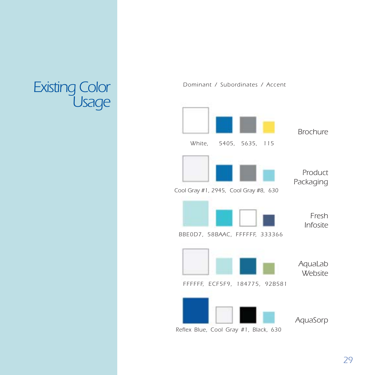### <span id="page-28-0"></span>*Dominant / Subordinates / Accent Existing Color Usage*



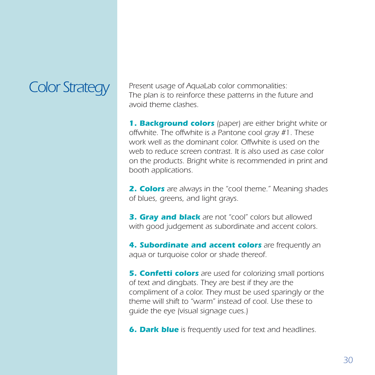<span id="page-29-0"></span>*Color Strategy Present usage of AquaLab color commonalities: The plan is to reinforce these patterns in the future and avoid theme clashes.*

> *1. Background colors (paper) are either bright white or offwhite. The offwhite is a Pantone cool gray #1. These work well as the dominant color. Offwhite is used on the web to reduce screen contrast. It is also used as case color on the products. Bright white is recommended in print and booth applications.*

> *2. Colors are always in the "cool theme." Meaning shades of blues, greens, and light grays.*

*3. Gray and black are not "cool" colors but allowed with good judgement as subordinate and accent colors.*

*4. Subordinate and accent colors are frequently an aqua or turquoise color or shade thereof.*

*5. Confetti colors are used for colorizing small portions of text and dingbats. They are best if they are the compliment of a color. They must be used sparingly or the theme will shift to "warm" instead of cool. Use these to guide the eye (visual signage cues.)*

*6. Dark blue is frequently used for text and headlines.*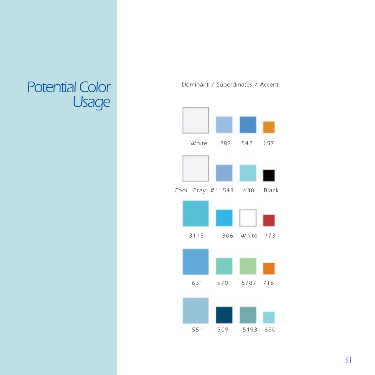### <span id="page-30-0"></span>Potential Color<sup>1</sup> *Dominant / Subordinates / Accent Usage*



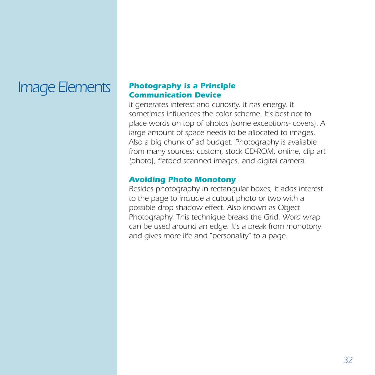## *Image Elements*

#### *Photography is a Principle Communication Device*

*It generates interest and curiosity. It has energy. It sometimes influences the color scheme. It's best not to place words on top of photos (some exceptions- covers). A large amount of space needs to be allocated to images. Also a big chunk of ad budget. Photography is available from many sources: custom, stock CD-ROM, online, clip art (photo), flatbed scanned images, and digital camera.*

#### *Avoiding Photo Monotony*

*Besides photography in rectangular boxes, it adds interest to the page to include a cutout photo or two with a possible drop shadow effect. Also known as Object Photography. This technique breaks the Grid. Word wrap can be used around an edge. It's a break from monotony and gives more life and "personality" to a page.*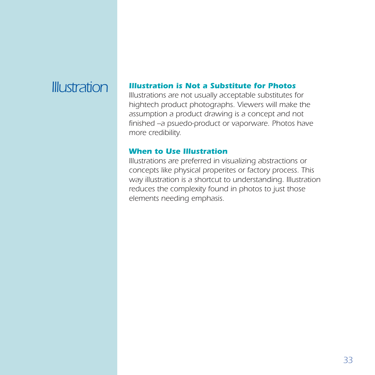### *Illustration*

#### *Illustration is Not a Substitute for Photos*

*Illustrations are not usually acceptable substitutes for hightech product photographs. Viewers will make the assumption a product drawing is a concept and not finished --a psuedo-product or vaporware. Photos have more credibility.*

#### *When to Use Illustration*

*Illustrations are preferred in visualizing abstractions or concepts like physical properites or factory process. This way illustration is a shortcut to understanding. Illustration reduces the complexity found in photos to just those elements needing emphasis.*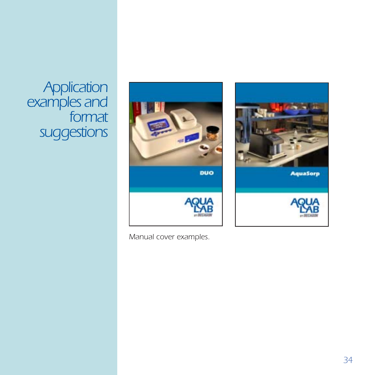<span id="page-33-0"></span>*Application examples and format suggestions*



*Manual cover examples.*

**AquaSorp**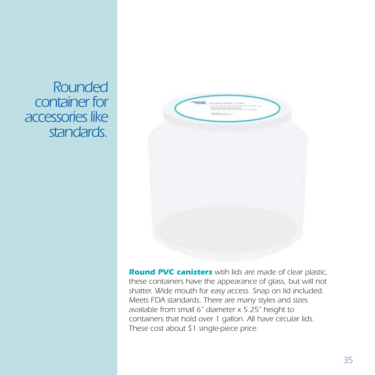*Rounded container for accessories like standards.*



*Round PVC canisters wtih lids are made of clear plastic, these containers have the appearance of glass, but will not shatter. Wide mouth for easy access. Snap on lid included. Meets FDA standards. There are many styles and sizes available from small 6" diameter x 5.25" height to containers that hold over 1 gallon. All have circular lids. These cost about \$1 single-piece price.*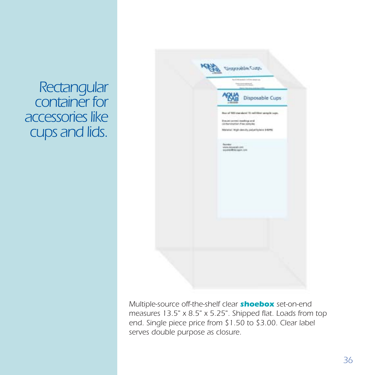*Rectangular container for accessories like cups and lids.*



*Multiple-source off-the-shelf clear shoebox set-on-end measures 13.5" x 8.5" x 5.25". Shipped flat. Loads from top end. Single piece price from \$1.50 to \$3.00. Clear label serves double purpose as closure.*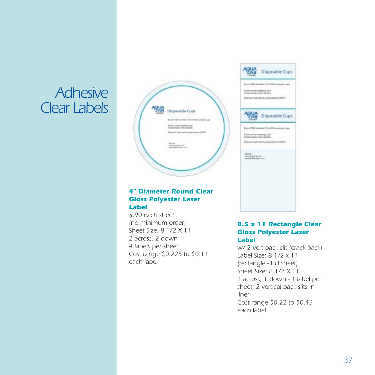### *Adhesive Clear Labels*



#### *4" Diameter Round Clear Gloss Polyester Laser Label*

*\$.90 each sheet (no minimum order) Sheet Size: 8 1/2 X 11 2 across, 2 down 4 labels per sheet Cost range \$0.225 to \$0.11 each label*



#### *8.5 x 11 Rectangle Clear Gloss Polyester Laser Label*

*w/ 2 vert back slit (crack back) Label Size: 8 1/2 x 11 (rectangle - full sheet) Sheet Size: 8 1/2 X 11 1 across, 1 down - 1 label per sheet; 2 vertical back-slits in liner Cost range \$0.22 to \$0.45 each label*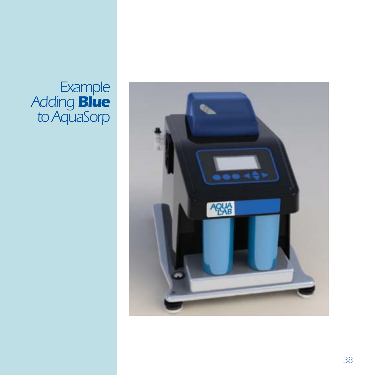### <span id="page-37-0"></span>*Example Adding Blue to AquaSorp*

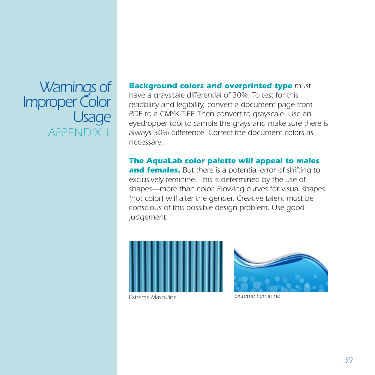*Warnings of Improper Color Usage APPENDIX 1*

#### *Background colors and overprinted type must*

*have a grayscale differential of 30%. To test for this readbility and legibility, convert a document page from PDF to a CMYK TIFF. Then convert to grayscale. Use an eyedropper tool to sample the grays and make sure there is always 30% difference. Correct the document colors as necessary.*

*The AquaLab color palette will appeal to males and females. But there is a potential error of shifting to exclusively feminine. This is determined by the use of shapes—more than color. Flowing curves for visual shapes (not color) will alter the gender. Creative talent must be conscious of this possible design problem. Use good judgement.*





*Extreme Masculine Extreme Feminine*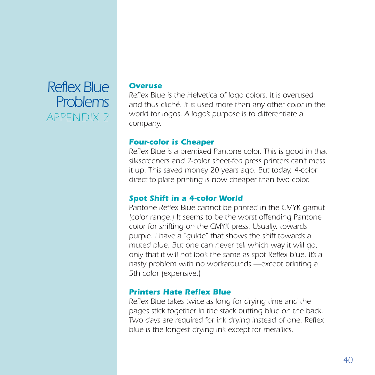### *Reflex Blue Problems APPENDIX 2*

#### *Overuse*

*Reflex Blue is the Helvetica of logo colors. It is overused and thus cliché. It is used more than any other color in the world for logos. A logo's purpose is to differentiate a company.*

#### *Four-color is Cheaper*

*Reflex Blue is a premixed Pantone color. This is good in that silkscreeners and 2-color sheet-fed press printers can't mess it up. This saved money 20 years ago. But today, 4-color direct-to-plate printing is now cheaper than two color.*

#### *Spot Shift in a 4-color World*

*Pantone Reflex Blue cannot be printed in the CMYK gamut (color range.) It seems to be the worst offending Pantone color for shifting on the CMYK press. Usually, towards purple. I have a "guide" that shows the shift towards a muted blue. But one can never tell which way it will go, only that it will not look the same as spot Reflex blue. It's a nasty problem with no workarounds —except printing a 5th color (expensive.)*

### *Printers Hate Reflex Blue*

*Reflex Blue takes twice as long for drying time and the pages stick together in the stack putting blue on the back. Two days are required for ink drying instead of one. Reflex blue is the longest drying ink except for metallics.*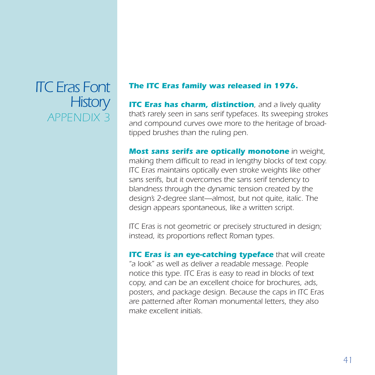### *ITC Eras Font History APPENDIX 3*

#### *The ITC Eras family was released in 1976.*

**ITC Eras has charm, distinction**, and a lively quality *that's rarely seen in sans serif typefaces. Its sweeping strokes and compound curves owe more to the heritage of broadtipped brushes than the ruling pen.*

*Most sans serifs are optically monotone in weight, making them difficult to read in lengthy blocks of text copy. ITC Eras maintains optically even stroke weights like other sans serifs, but it overcomes the sans serif tendency to blandness through the dynamic tension created by the design's 2-degree slant—almost, but not quite, italic. The design appears spontaneous, like a written script.*

*ITC Eras is not geometric or precisely structured in design; instead, its proportions reflect Roman types.*

*ITC Eras is an eye-catching typeface that will create "a look" as well as deliver a readable message. People notice this type. ITC Eras is easy to read in blocks of text copy, and can be an excellent choice for brochures, ads, posters, and package design. Because the caps in ITC Eras are patterned after Roman monumental letters, they also make excellent initials.*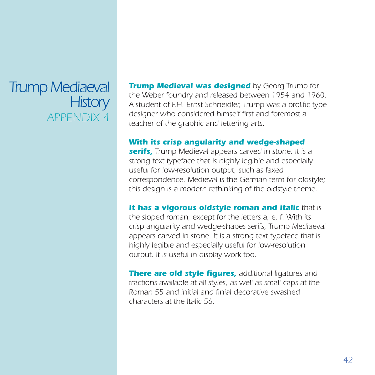### *Trump Mediaeval History APPENDIX 4*

*Trump Medieval was designed by Georg Trump for the Weber foundry and released between 1954 and 1960. A student of F.H. Ernst Schneidler, Trump was a prolific type designer who considered himself first and foremost a teacher of the graphic and lettering arts.*

#### *With its crisp angularity and wedge-shaped*

*serifs, Trump Medieval appears carved in stone. It is a strong text typeface that is highly legible and especially useful for low-resolution output, such as faxed correspondence. Medieval is the German term for oldstyle; this design is a modern rethinking of the oldstyle theme.*

#### *It has a vigorous oldstyle roman and italic that is*

*the sloped roman, except for the letters a, e, f. With its crisp angularity and wedge-shapes serifs, Trump Mediaeval appears carved in stone. It is a strong text typeface that is highly legible and especially useful for low-resolution output. It is useful in display work too.*

*There are old style figures, additional ligatures and fractions available at all styles, as well as small caps at the Roman 55 and initial and finial decorative swashed characters at the Italic 56.*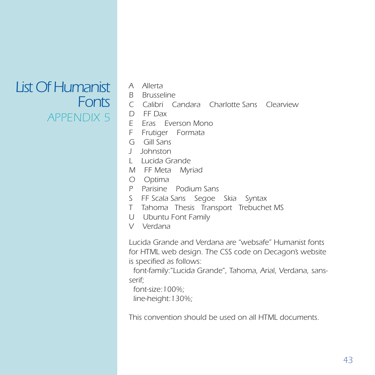### *List Of Humanist Fonts APPENDIX 5*

- *A Allerta*
	- *B Brusseline*
	- *C Calibri Candara Charlotte Sans Clearview*
	- *D FF Dax*
	- *E Eras Everson Mono*
	- *F Frutiger Formata*
	- *G Gill Sans*
	- *J Johnston*
	- *L Lucida Grande*
	- *M FF Meta Myriad*
	- *O Optima*
	- *P Parisine Podium Sans*
	- *S FF Scala Sans Segoe Skia Syntax*
	- *T Tahoma Thesis Transport Trebuchet MS*
	- *U Ubuntu Font Family*
	- *V Verdana*

*Lucida Grande and Verdana are "websafe" Humanist fonts for HTML web design. The CSS code on Decagon's website is specified as follows:*

 *font-family:"Lucida Grande", Tahoma, Arial, Verdana, sansserif;*

 *font-size:100%; line-height:130%;*

*This convention should be used on all HTML documents.*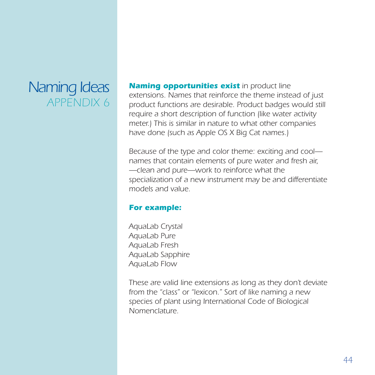### *Naming Ideas APPENDIX 6*

*Naming opportunities exist in product line extensions. Names that reinforce the theme instead of just product functions are desirable. Product badges would still require a short description of function (like water activity meter.) This is similar in nature to what other companies have done (such as Apple OS X Big Cat names.)*

*Because of the type and color theme: exciting and cool names that contain elements of pure water and fresh air, —clean and pure—work to reinforce what the specialization of a new instrument may be and differentiate models and value.*

#### *For example:*

*AquaLab Crystal AquaLab Pure AquaLab Fresh AquaLab Sapphire AquaLab Flow*

*These are valid line extensions as long as they don't deviate from the "class" or "lexicon." Sort of like naming a new species of plant using International Code of Biological Nomenclature.*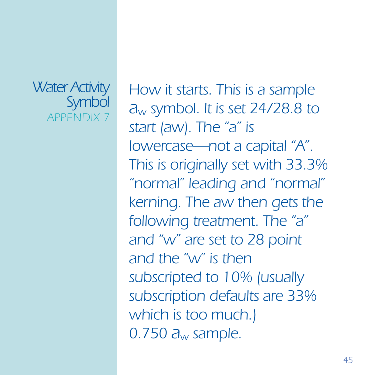### *Water Activity Symbol APPENDIX 7*

*How it starts. This is a sample aw symbol. It is set 24/28.8 to start (aw). The "a" is lowercase—not a capital "A". This is originally set with 33.3% "normal" leading and "normal" kerning. The aw then gets the following treatment. The "a" and "w" are set to 28 point and the "w" is then subscripted to 10% (usually subscription defaults are 33% which is too much.) 0.750 aw sample.*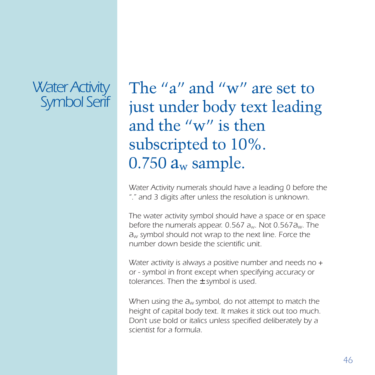### *Water Activity Symbol Serif*

The "a" and "w" are set to just under body text leading and the "w" is then subscripted to 10%.  $0.750 a_w$  sample.

*Water Activity numerals should have a leading 0 before the "." and 3 digits after unless the resolution is unknown.*

*The water activity symbol should have a space or en space before the numerals appear. 0.567 aw. Not 0.567aw. The aw symbol should not wrap to the next line. Force the number down beside the scientific unit.*

*Water activity is always a positive number and needs no + or - symbol in front except when specifying accuracy or tolerances. Then the* ± *symbol is used.*

*When using the aw symbol, do not attempt to match the height of capital body text. It makes it stick out too much. Don't use bold or italics unless specified deliberately by a scientist for a formula.*